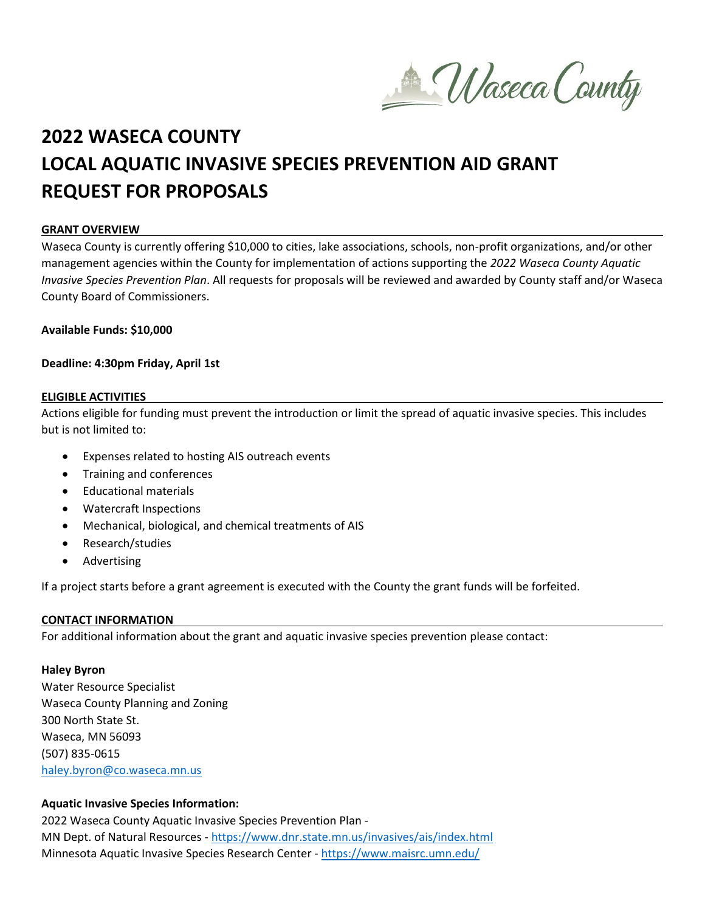Maseca County

# **2022 WASECA COUNTY LOCAL AQUATIC INVASIVE SPECIES PREVENTION AID GRANT REQUEST FOR PROPOSALS**

#### **GRANT OVERVIEW**

Waseca County is currently offering \$10,000 to cities, lake associations, schools, non-profit organizations, and/or other management agencies within the County for implementation of actions supporting the *2022 Waseca County Aquatic Invasive Species Prevention Plan*. All requests for proposals will be reviewed and awarded by County staff and/or Waseca County Board of Commissioners.

**Available Funds: \$10,000**

#### **Deadline: 4:30pm Friday, April 1st**

#### **ELIGIBLE ACTIVITIES**

Actions eligible for funding must prevent the introduction or limit the spread of aquatic invasive species. This includes but is not limited to:

- Expenses related to hosting AIS outreach events
- Training and conferences
- Educational materials
- Watercraft Inspections
- Mechanical, biological, and chemical treatments of AIS
- Research/studies
- Advertising

If a project starts before a grant agreement is executed with the County the grant funds will be forfeited.

## **CONTACT INFORMATION**

For additional information about the grant and aquatic invasive species prevention please contact:

## **Haley Byron**

Water Resource Specialist Waseca County Planning and Zoning 300 North State St. Waseca, MN 56093 (507) 835-0615 [haley.byron@co.waseca.mn.us](mailto:haley.byron@co.waseca.mn.us)

## **Aquatic Invasive Species Information:**

2022 Waseca County Aquatic Invasive Species Prevention Plan - MN Dept. of Natural Resources - <https://www.dnr.state.mn.us/invasives/ais/index.html> Minnesota Aquatic Invasive Species Research Center - <https://www.maisrc.umn.edu/>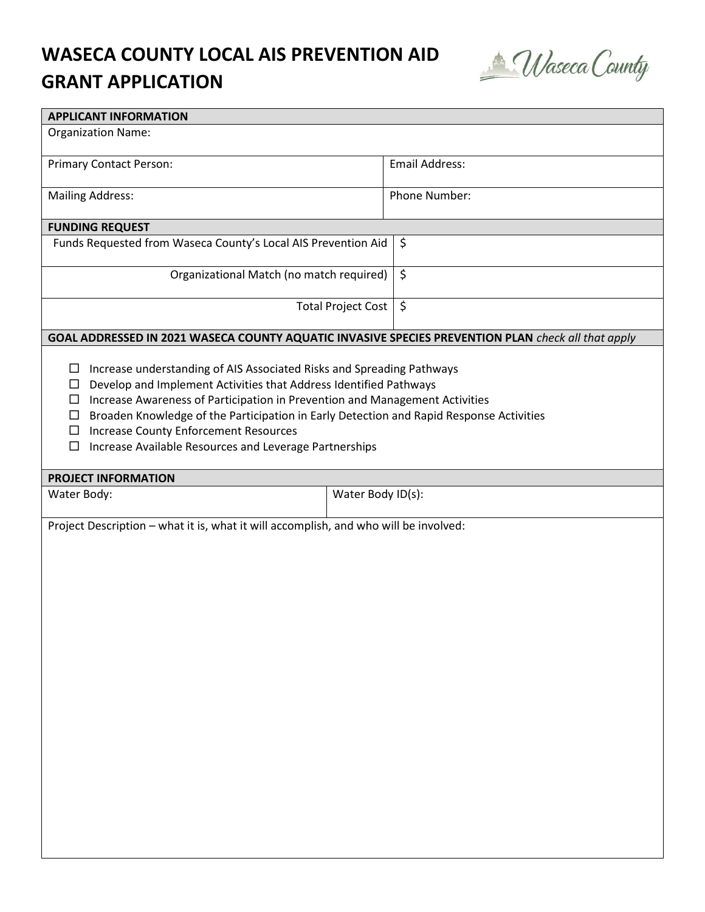## **WASECA COUNTY LOCAL AIS PREVENTION AID GRANT APPLICATION**



| <b>APPLICANT INFORMATION</b>                                                                                                                                                                                                                                                                                                                                                                                                                                      |                                                                                                    |  |  |  |
|-------------------------------------------------------------------------------------------------------------------------------------------------------------------------------------------------------------------------------------------------------------------------------------------------------------------------------------------------------------------------------------------------------------------------------------------------------------------|----------------------------------------------------------------------------------------------------|--|--|--|
| <b>Organization Name:</b>                                                                                                                                                                                                                                                                                                                                                                                                                                         |                                                                                                    |  |  |  |
| <b>Primary Contact Person:</b>                                                                                                                                                                                                                                                                                                                                                                                                                                    | <b>Email Address:</b>                                                                              |  |  |  |
| <b>Mailing Address:</b>                                                                                                                                                                                                                                                                                                                                                                                                                                           | Phone Number:                                                                                      |  |  |  |
| <b>FUNDING REQUEST</b>                                                                                                                                                                                                                                                                                                                                                                                                                                            |                                                                                                    |  |  |  |
| Funds Requested from Waseca County's Local AIS Prevention Aid                                                                                                                                                                                                                                                                                                                                                                                                     | \$                                                                                                 |  |  |  |
| Organizational Match (no match required)                                                                                                                                                                                                                                                                                                                                                                                                                          | $\zeta$                                                                                            |  |  |  |
|                                                                                                                                                                                                                                                                                                                                                                                                                                                                   | $\zeta$<br><b>Total Project Cost</b>                                                               |  |  |  |
|                                                                                                                                                                                                                                                                                                                                                                                                                                                                   | GOAL ADDRESSED IN 2021 WASECA COUNTY AQUATIC INVASIVE SPECIES PREVENTION PLAN check all that apply |  |  |  |
| Increase understanding of AIS Associated Risks and Spreading Pathways<br>□<br>Develop and Implement Activities that Address Identified Pathways<br>□<br>Increase Awareness of Participation in Prevention and Management Activities<br>□<br>Broaden Knowledge of the Participation in Early Detection and Rapid Response Activities<br>□<br><b>Increase County Enforcement Resources</b><br>□<br>Increase Available Resources and Leverage Partnerships<br>$\Box$ |                                                                                                    |  |  |  |
| <b>PROJECT INFORMATION</b>                                                                                                                                                                                                                                                                                                                                                                                                                                        |                                                                                                    |  |  |  |
| Water Body:                                                                                                                                                                                                                                                                                                                                                                                                                                                       | Water Body ID(s):                                                                                  |  |  |  |
| Project Description - what it is, what it will accomplish, and who will be involved:                                                                                                                                                                                                                                                                                                                                                                              |                                                                                                    |  |  |  |
|                                                                                                                                                                                                                                                                                                                                                                                                                                                                   |                                                                                                    |  |  |  |
|                                                                                                                                                                                                                                                                                                                                                                                                                                                                   |                                                                                                    |  |  |  |
|                                                                                                                                                                                                                                                                                                                                                                                                                                                                   |                                                                                                    |  |  |  |
|                                                                                                                                                                                                                                                                                                                                                                                                                                                                   |                                                                                                    |  |  |  |
|                                                                                                                                                                                                                                                                                                                                                                                                                                                                   |                                                                                                    |  |  |  |
|                                                                                                                                                                                                                                                                                                                                                                                                                                                                   |                                                                                                    |  |  |  |
|                                                                                                                                                                                                                                                                                                                                                                                                                                                                   |                                                                                                    |  |  |  |
|                                                                                                                                                                                                                                                                                                                                                                                                                                                                   |                                                                                                    |  |  |  |
|                                                                                                                                                                                                                                                                                                                                                                                                                                                                   |                                                                                                    |  |  |  |
|                                                                                                                                                                                                                                                                                                                                                                                                                                                                   |                                                                                                    |  |  |  |
|                                                                                                                                                                                                                                                                                                                                                                                                                                                                   |                                                                                                    |  |  |  |
|                                                                                                                                                                                                                                                                                                                                                                                                                                                                   |                                                                                                    |  |  |  |